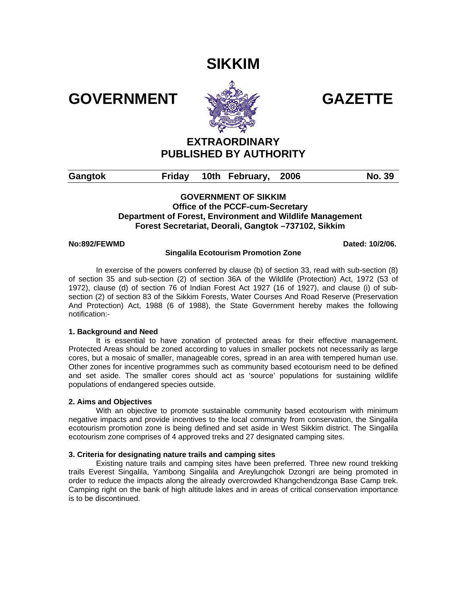# **SIKKIM**

GOVERNMENT **WE SEE THE GAZETTE** 



# **EXTRAORDINARY PUBLISHED BY AUTHORITY**

| Gangtok |  | Friday 10th February, 2006 | <b>No. 39</b> |
|---------|--|----------------------------|---------------|
|         |  |                            |               |

# **GOVERNMENT OF SIKKIM Office of the PCCF-cum-Secretary Department of Forest, Environment and Wildlife Management Forest Secretariat, Deorali, Gangtok –737102, Sikkim**

#### **No:892/FEWMD Dated: 10/2/06.**

# **Singalila Ecotourism Promotion Zone**

 In exercise of the powers conferred by clause (b) of section 33, read with sub-section (8) of section 35 and sub-section (2) of section 36A of the Wildlife (Protection) Act, 1972 (53 of 1972), clause (d) of section 76 of Indian Forest Act 1927 (16 of 1927), and clause (i) of subsection (2) of section 83 of the Sikkim Forests, Water Courses And Road Reserve (Preservation And Protection) Act, 1988 (6 of 1988), the State Government hereby makes the following notification:-

# **1. Background and Need**

 It is essential to have zonation of protected areas for their effective management. Protected Areas should be zoned according to values in smaller pockets not necessarily as large cores, but a mosaic of smaller, manageable cores, spread in an area with tempered human use. Other zones for incentive programmes such as community based ecotourism need to be defined and set aside. The smaller cores should act as 'source' populations for sustaining wildlife populations of endangered species outside.

# **2. Aims and Objectives**

 With an objective to promote sustainable community based ecotourism with minimum negative impacts and provide incentives to the local community from conservation, the Singalila ecotourism promotion zone is being defined and set aside in West Sikkim district. The Singalila ecotourism zone comprises of 4 approved treks and 27 designated camping sites.

# **3. Criteria for designating nature trails and camping sites**

 Existing nature trails and camping sites have been preferred. Three new round trekking trails Everest Singalila, Yambong Singalila and Areylungchok Dzongri are being promoted in order to reduce the impacts along the already overcrowded Khangchendzonga Base Camp trek. Camping right on the bank of high altitude lakes and in areas of critical conservation importance is to be discontinued.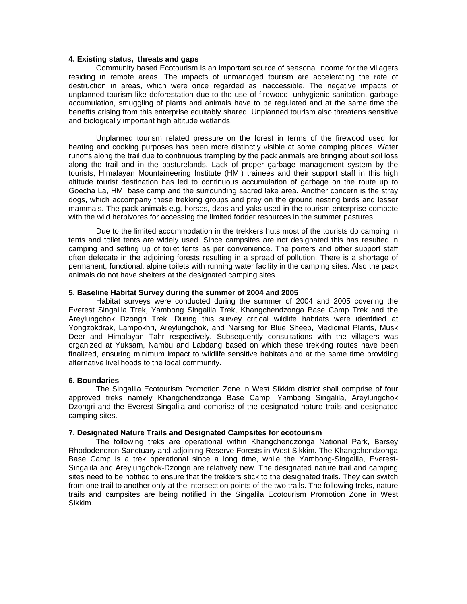#### **4. Existing status, threats and gaps**

 Community based Ecotourism is an important source of seasonal income for the villagers residing in remote areas. The impacts of unmanaged tourism are accelerating the rate of destruction in areas, which were once regarded as inaccessible. The negative impacts of unplanned tourism like deforestation due to the use of firewood, unhygienic sanitation, garbage accumulation, smuggling of plants and animals have to be regulated and at the same time the benefits arising from this enterprise equitably shared. Unplanned tourism also threatens sensitive and biologically important high altitude wetlands.

 Unplanned tourism related pressure on the forest in terms of the firewood used for heating and cooking purposes has been more distinctly visible at some camping places. Water runoffs along the trail due to continuous trampling by the pack animals are bringing about soil loss along the trail and in the pasturelands. Lack of proper garbage management system by the tourists, Himalayan Mountaineering Institute (HMI) trainees and their support staff in this high altitude tourist destination has led to continuous accumulation of garbage on the route up to Goecha La, HMI base camp and the surrounding sacred lake area. Another concern is the stray dogs, which accompany these trekking groups and prey on the ground nesting birds and lesser mammals. The pack animals e.g. horses, dzos and yaks used in the tourism enterprise compete with the wild herbivores for accessing the limited fodder resources in the summer pastures.

 Due to the limited accommodation in the trekkers huts most of the tourists do camping in tents and toilet tents are widely used. Since campsites are not designated this has resulted in camping and setting up of toilet tents as per convenience. The porters and other support staff often defecate in the adjoining forests resulting in a spread of pollution. There is a shortage of permanent, functional, alpine toilets with running water facility in the camping sites. Also the pack animals do not have shelters at the designated camping sites.

#### **5. Baseline Habitat Survey during the summer of 2004 and 2005**

 Habitat surveys were conducted during the summer of 2004 and 2005 covering the Everest Singalila Trek, Yambong Singalila Trek, Khangchendzonga Base Camp Trek and the Areylungchok Dzongri Trek. During this survey critical wildlife habitats were identified at Yongzokdrak, Lampokhri, Areylungchok, and Narsing for Blue Sheep, Medicinal Plants, Musk Deer and Himalayan Tahr respectively. Subsequently consultations with the villagers was organized at Yuksam, Nambu and Labdang based on which these trekking routes have been finalized, ensuring minimum impact to wildlife sensitive habitats and at the same time providing alternative livelihoods to the local community.

#### **6. Boundaries**

 The Singalila Ecotourism Promotion Zone in West Sikkim district shall comprise of four approved treks namely Khangchendzonga Base Camp, Yambong Singalila, Areylungchok Dzongri and the Everest Singalila and comprise of the designated nature trails and designated camping sites.

#### **7. Designated Nature Trails and Designated Campsites for ecotourism**

 The following treks are operational within Khangchendzonga National Park, Barsey Rhododendron Sanctuary and adjoining Reserve Forests in West Sikkim. The Khangchendzonga Base Camp is a trek operational since a long time, while the Yambong-Singalila, Everest-Singalila and Areylungchok-Dzongri are relatively new. The designated nature trail and camping sites need to be notified to ensure that the trekkers stick to the designated trails. They can switch from one trail to another only at the intersection points of the two trails. The following treks, nature trails and campsites are being notified in the Singalila Ecotourism Promotion Zone in West Sikkim.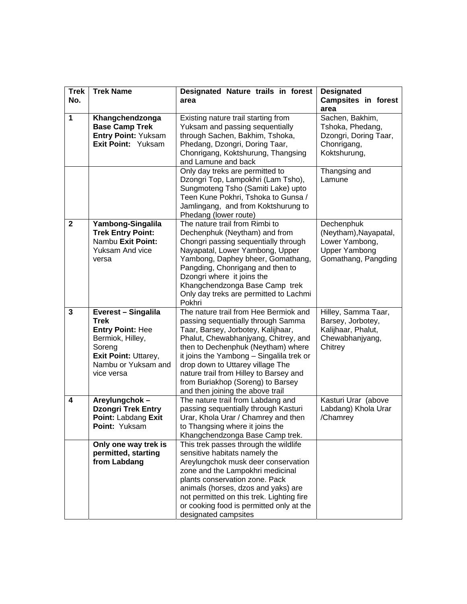| <b>Trek</b><br>No. | <b>Trek Name</b>                                                                                                                                                | Designated Nature trails in forest<br>area                                                                                                                                                                                                                                                                                                                                                         | <b>Designated</b><br><b>Campsites in forest</b>                                                      |
|--------------------|-----------------------------------------------------------------------------------------------------------------------------------------------------------------|----------------------------------------------------------------------------------------------------------------------------------------------------------------------------------------------------------------------------------------------------------------------------------------------------------------------------------------------------------------------------------------------------|------------------------------------------------------------------------------------------------------|
|                    |                                                                                                                                                                 |                                                                                                                                                                                                                                                                                                                                                                                                    | area                                                                                                 |
| $\mathbf 1$        | Khangchendzonga<br><b>Base Camp Trek</b><br><b>Entry Point: Yuksam</b><br>Exit Point: Yuksam                                                                    | Existing nature trail starting from<br>Yuksam and passing sequentially<br>through Sachen, Bakhim, Tshoka,<br>Phedang, Dzongri, Doring Taar,<br>Chonrigang, Koktshurung, Thangsing<br>and Lamune and back                                                                                                                                                                                           | Sachen, Bakhim,<br>Tshoka, Phedang,<br>Dzongri, Doring Taar,<br>Chonrigang,<br>Koktshurung,          |
|                    |                                                                                                                                                                 | Only day treks are permitted to<br>Dzongri Top, Lampokhri (Lam Tsho),<br>Sungmoteng Tsho (Samiti Lake) upto<br>Teen Kune Pokhri, Tshoka to Gunsa /<br>Jamlingang, and from Koktshurung to<br>Phedang (lower route)                                                                                                                                                                                 | Thangsing and<br>Lamune                                                                              |
| $\mathbf{2}$       | Yambong-Singalila<br><b>Trek Entry Point:</b><br>Nambu Exit Point:<br><b>Yuksam And vice</b><br>versa                                                           | The nature trail from Rimbi to<br>Dechenphuk (Neytham) and from<br>Chongri passing sequentially through<br>Nayapatal, Lower Yambong, Upper<br>Yambong, Daphey bheer, Gomathang,<br>Pangding, Chonrigang and then to<br>Dzongri where it joins the<br>Khangchendzonga Base Camp trek<br>Only day treks are permitted to Lachmi<br>Pokhri                                                            | Dechenphuk<br>(Neytham), Nayapatal,<br>Lower Yambong,<br><b>Upper Yambong</b><br>Gomathang, Pangding |
| $\mathbf{3}$       | Everest - Singalila<br><b>Trek</b><br><b>Entry Point: Hee</b><br>Bermiok, Hilley,<br>Soreng<br><b>Exit Point: Uttarey,</b><br>Nambu or Yuksam and<br>vice versa | The nature trail from Hee Bermiok and<br>passing sequentially through Samma<br>Taar, Barsey, Jorbotey, Kalijhaar,<br>Phalut, Chewabhanjyang, Chitrey, and<br>then to Dechenphuk (Neytham) where<br>it joins the Yambong - Singalila trek or<br>drop down to Uttarey village The<br>nature trail from Hilley to Barsey and<br>from Buriakhop (Soreng) to Barsey<br>and then joining the above trail | Hilley, Samma Taar,<br>Barsey, Jorbotey,<br>Kalijhaar, Phalut,<br>Chewabhanjyang,<br>Chitrey         |
| 4                  | Areylungchok-<br><b>Dzongri Trek Entry</b><br>Point: Labdang Exit<br>Point: Yuksam                                                                              | The nature trail from Labdang and<br>passing sequentially through Kasturi<br>Urar, Khola Urar / Chamrey and then<br>to Thangsing where it joins the<br>Khangchendzonga Base Camp trek.                                                                                                                                                                                                             | Kasturi Urar (above<br>Labdang) Khola Urar<br>/Chamrey                                               |
|                    | Only one way trek is<br>permitted, starting<br>from Labdang                                                                                                     | This trek passes through the wildlife<br>sensitive habitats namely the<br>Areylungchok musk deer conservation<br>zone and the Lampokhri medicinal<br>plants conservation zone. Pack<br>animals (horses, dzos and yaks) are<br>not permitted on this trek. Lighting fire<br>or cooking food is permitted only at the<br>designated campsites                                                        |                                                                                                      |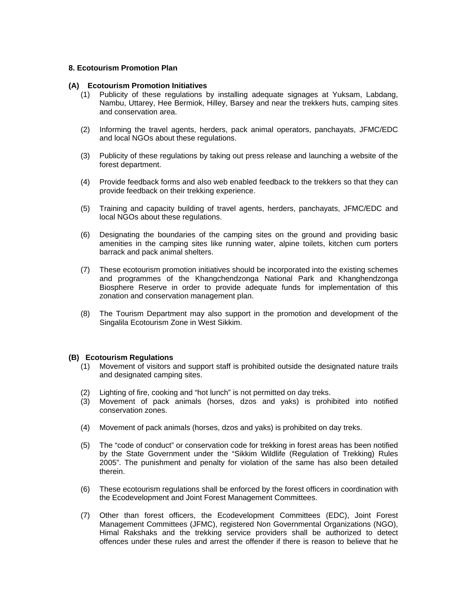# **8. Ecotourism Promotion Plan**

#### **(A) Ecotourism Promotion Initiatives**

- (1) Publicity of these regulations by installing adequate signages at Yuksam, Labdang, Nambu, Uttarey, Hee Bermiok, Hilley, Barsey and near the trekkers huts, camping sites and conservation area.
- (2) Informing the travel agents, herders, pack animal operators, panchayats, JFMC/EDC and local NGOs about these regulations.
- (3) Publicity of these regulations by taking out press release and launching a website of the forest department.
- (4) Provide feedback forms and also web enabled feedback to the trekkers so that they can provide feedback on their trekking experience.
- (5) Training and capacity building of travel agents, herders, panchayats, JFMC/EDC and local NGOs about these regulations.
- (6) Designating the boundaries of the camping sites on the ground and providing basic amenities in the camping sites like running water, alpine toilets, kitchen cum porters barrack and pack animal shelters.
- (7) These ecotourism promotion initiatives should be incorporated into the existing schemes and programmes of the Khangchendzonga National Park and Khanghendzonga Biosphere Reserve in order to provide adequate funds for implementation of this zonation and conservation management plan.
- (8) The Tourism Department may also support in the promotion and development of the Singalila Ecotourism Zone in West Sikkim.

# **(B) Ecotourism Regulations**

- (1) Movement of visitors and support staff is prohibited outside the designated nature trails and designated camping sites.
- (2) Lighting of fire, cooking and "hot lunch" is not permitted on day treks.
- (3) Movement of pack animals (horses, dzos and yaks) is prohibited into notified conservation zones.
- (4) Movement of pack animals (horses, dzos and yaks) is prohibited on day treks.
- (5) The "code of conduct" or conservation code for trekking in forest areas has been notified by the State Government under the "Sikkim Wildlife (Regulation of Trekking) Rules 2005". The punishment and penalty for violation of the same has also been detailed therein.
- (6) These ecotourism regulations shall be enforced by the forest officers in coordination with the Ecodevelopment and Joint Forest Management Committees.
- (7) Other than forest officers, the Ecodevelopment Committees (EDC), Joint Forest Management Committees (JFMC), registered Non Governmental Organizations (NGO), Himal Rakshaks and the trekking service providers shall be authorized to detect offences under these rules and arrest the offender if there is reason to believe that he